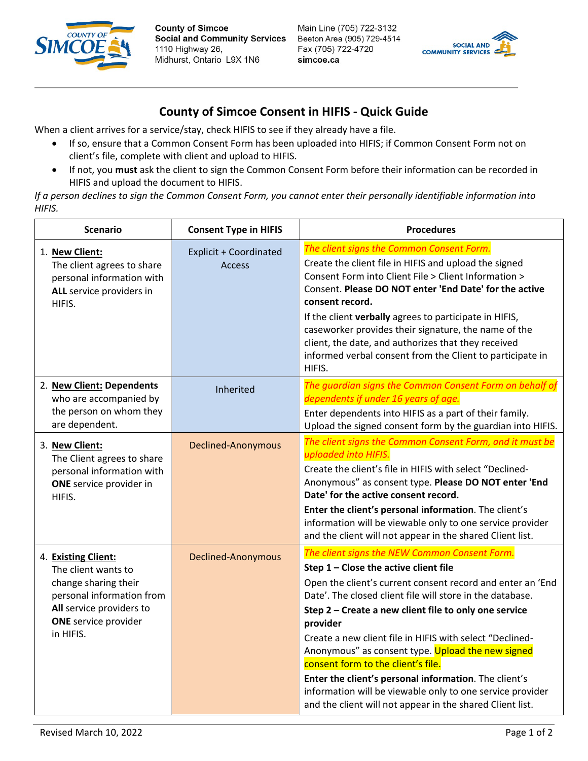

**County of Simcoe Social and Community Services** 1110 Highway 26, Midhurst, Ontario L9X 1N6



## **County of Simcoe Consent in HIFIS - Quick Guide**

When a client arrives for a service/stay, check HIFIS to see if they already have a file.

- If so, ensure that a Common Consent Form has been uploaded into HIFIS; if Common Consent Form not on client's file, complete with client and upload to HIFIS.
- If not, you **must** ask the client to sign the Common Consent Form before their information can be recorded in HIFIS and upload the document to HIFIS.

*If a person declines to sign the Common Consent Form, you cannot enter their personally identifiable information into HIFIS.*

| <b>Scenario</b>                                                                                                                                                         | <b>Consent Type in HIFIS</b>                   | <b>Procedures</b>                                                                                                                                                                                                                                                                                                                                                                                                                                                                                                                                                                                                                |
|-------------------------------------------------------------------------------------------------------------------------------------------------------------------------|------------------------------------------------|----------------------------------------------------------------------------------------------------------------------------------------------------------------------------------------------------------------------------------------------------------------------------------------------------------------------------------------------------------------------------------------------------------------------------------------------------------------------------------------------------------------------------------------------------------------------------------------------------------------------------------|
| 1. New Client:<br>The client agrees to share<br>personal information with<br>ALL service providers in<br>HIFIS.                                                         | <b>Explicit + Coordinated</b><br><b>Access</b> | The client signs the Common Consent Form.<br>Create the client file in HIFIS and upload the signed<br>Consent Form into Client File > Client Information ><br>Consent. Please DO NOT enter 'End Date' for the active<br>consent record.<br>If the client verbally agrees to participate in HIFIS,<br>caseworker provides their signature, the name of the<br>client, the date, and authorizes that they received<br>informed verbal consent from the Client to participate in<br>HIFIS.                                                                                                                                          |
| 2. New Client: Dependents<br>who are accompanied by<br>the person on whom they<br>are dependent.                                                                        | Inherited                                      | The guardian signs the Common Consent Form on behalf of<br>dependents if under 16 years of age.<br>Enter dependents into HIFIS as a part of their family.<br>Upload the signed consent form by the guardian into HIFIS.                                                                                                                                                                                                                                                                                                                                                                                                          |
| 3. New Client:<br>The Client agrees to share<br>personal information with<br>ONE service provider in<br>HIFIS.                                                          | Declined-Anonymous                             | The client signs the Common Consent Form, and it must be<br>uploaded into HIFIS.<br>Create the client's file in HIFIS with select "Declined-<br>Anonymous" as consent type. Please DO NOT enter 'End<br>Date' for the active consent record.<br>Enter the client's personal information. The client's<br>information will be viewable only to one service provider<br>and the client will not appear in the shared Client list.                                                                                                                                                                                                  |
| 4. Existing Client:<br>The client wants to<br>change sharing their<br>personal information from<br>All service providers to<br><b>ONE</b> service provider<br>in HIFIS. | <b>Declined-Anonymous</b>                      | The client signs the NEW Common Consent Form.<br>Step 1 - Close the active client file<br>Open the client's current consent record and enter an 'End<br>Date'. The closed client file will store in the database.<br>Step 2 - Create a new client file to only one service<br>provider<br>Create a new client file in HIFIS with select "Declined-<br>Anonymous" as consent type. Upload the new signed<br>consent form to the client's file.<br>Enter the client's personal information. The client's<br>information will be viewable only to one service provider<br>and the client will not appear in the shared Client list. |